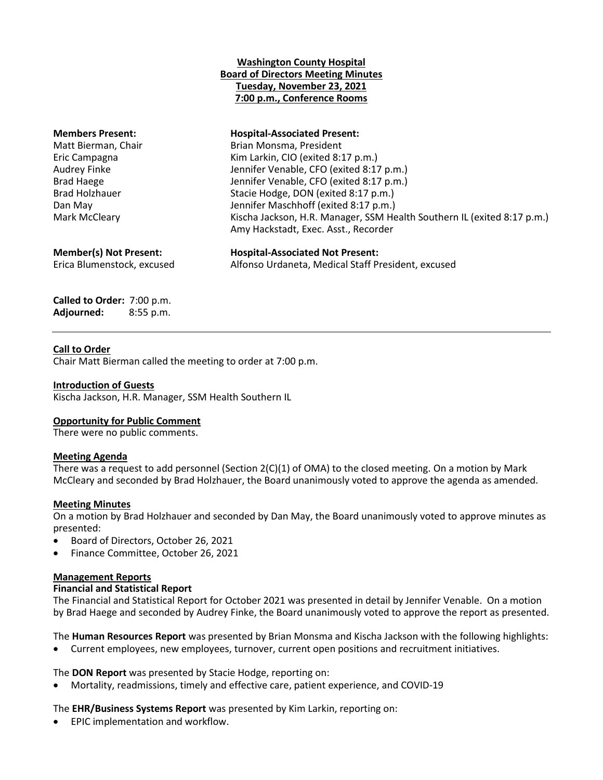# **Washington County Hospital Board of Directors Meeting Minutes Tuesday, November 23, 2021 7:00 p.m., Conference Rooms**

| <b>Members Present:</b><br>Matt Bierman, Chair<br>Eric Campagna<br>Audrey Finke<br><b>Brad Haege</b><br><b>Brad Holzhauer</b><br>Dan May<br>Mark McCleary | <b>Hospital-Associated Present:</b><br>Brian Monsma, President<br>Kim Larkin, CIO (exited 8:17 p.m.)<br>Jennifer Venable, CFO (exited 8:17 p.m.)<br>Jennifer Venable, CFO (exited 8:17 p.m.)<br>Stacie Hodge, DON (exited 8:17 p.m.)<br>Jennifer Maschhoff (exited 8:17 p.m.)<br>Kischa Jackson, H.R. Manager, SSM Health Southern IL (exited 8:17 p.m.)<br>Amy Hackstadt, Exec. Asst., Recorder |
|-----------------------------------------------------------------------------------------------------------------------------------------------------------|--------------------------------------------------------------------------------------------------------------------------------------------------------------------------------------------------------------------------------------------------------------------------------------------------------------------------------------------------------------------------------------------------|
| <b>Member(s) Not Present:</b>                                                                                                                             | <b>Hospital-Associated Not Present:</b>                                                                                                                                                                                                                                                                                                                                                          |
| Erica Blumenstock, excused                                                                                                                                | Alfonso Urdaneta, Medical Staff President, excused                                                                                                                                                                                                                                                                                                                                               |

**Called to Order:** 7:00 p.m. **Adjourned:** 8:55 p.m.

# **Call to Order**

Chair Matt Bierman called the meeting to order at 7:00 p.m.

# **Introduction of Guests**

Kischa Jackson, H.R. Manager, SSM Health Southern IL

# **Opportunity for Public Comment**

There were no public comments.

## **Meeting Agenda**

There was a request to add personnel (Section  $2(C)(1)$  of OMA) to the closed meeting. On a motion by Mark McCleary and seconded by Brad Holzhauer, the Board unanimously voted to approve the agenda as amended.

# **Meeting Minutes**

On a motion by Brad Holzhauer and seconded by Dan May, the Board unanimously voted to approve minutes as presented:

- Board of Directors, October 26, 2021
- Finance Committee, October 26, 2021

## **Management Reports**

# **Financial and Statistical Report**

The Financial and Statistical Report for October 2021 was presented in detail by Jennifer Venable. On a motion by Brad Haege and seconded by Audrey Finke, the Board unanimously voted to approve the report as presented.

The **Human Resources Report** was presented by Brian Monsma and Kischa Jackson with the following highlights:

Current employees, new employees, turnover, current open positions and recruitment initiatives.

The **DON Report** was presented by Stacie Hodge, reporting on:

Mortality, readmissions, timely and effective care, patient experience, and COVID-19

The **EHR/Business Systems Report** was presented by Kim Larkin, reporting on:

EPIC implementation and workflow.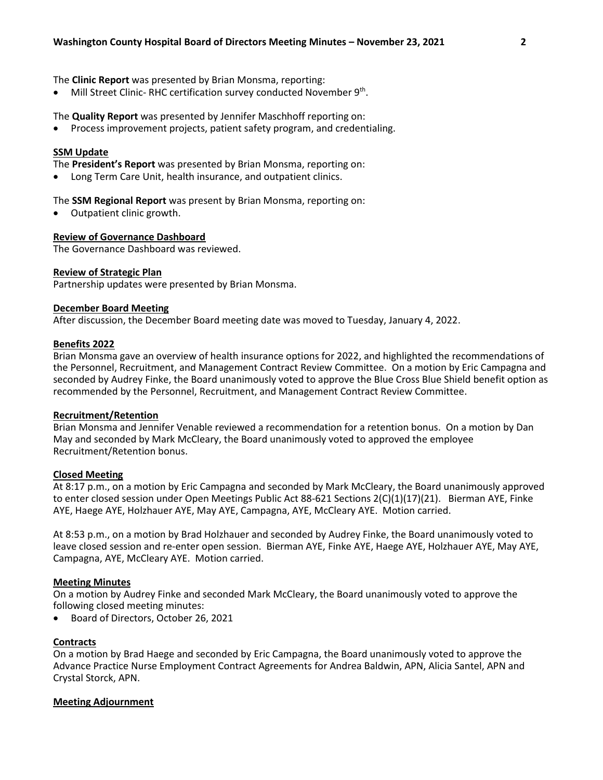## The **Clinic Report** was presented by Brian Monsma, reporting:

• Mill Street Clinic-RHC certification survey conducted November 9<sup>th</sup>.

# The **Quality Report** was presented by Jennifer Maschhoff reporting on:

Process improvement projects, patient safety program, and credentialing.

## **SSM Update**

The **President's Report** was presented by Brian Monsma, reporting on:

Long Term Care Unit, health insurance, and outpatient clinics.

The **SSM Regional Report** was present by Brian Monsma, reporting on:

Outpatient clinic growth.

# **Review of Governance Dashboard**

The Governance Dashboard was reviewed.

# **Review of Strategic Plan**

Partnership updates were presented by Brian Monsma.

## **December Board Meeting**

After discussion, the December Board meeting date was moved to Tuesday, January 4, 2022.

# **Benefits 2022**

Brian Monsma gave an overview of health insurance options for 2022, and highlighted the recommendations of the Personnel, Recruitment, and Management Contract Review Committee. On a motion by Eric Campagna and seconded by Audrey Finke, the Board unanimously voted to approve the Blue Cross Blue Shield benefit option as recommended by the Personnel, Recruitment, and Management Contract Review Committee.

## **Recruitment/Retention**

Brian Monsma and Jennifer Venable reviewed a recommendation for a retention bonus. On a motion by Dan May and seconded by Mark McCleary, the Board unanimously voted to approved the employee Recruitment/Retention bonus.

## **Closed Meeting**

At 8:17 p.m., on a motion by Eric Campagna and seconded by Mark McCleary, the Board unanimously approved to enter closed session under Open Meetings Public Act 88-621 Sections 2(C)(1)(17)(21). Bierman AYE, Finke AYE, Haege AYE, Holzhauer AYE, May AYE, Campagna, AYE, McCleary AYE. Motion carried.

At 8:53 p.m., on a motion by Brad Holzhauer and seconded by Audrey Finke, the Board unanimously voted to leave closed session and re-enter open session. Bierman AYE, Finke AYE, Haege AYE, Holzhauer AYE, May AYE, Campagna, AYE, McCleary AYE. Motion carried.

## **Meeting Minutes**

On a motion by Audrey Finke and seconded Mark McCleary, the Board unanimously voted to approve the following closed meeting minutes:

Board of Directors, October 26, 2021

## **Contracts**

On a motion by Brad Haege and seconded by Eric Campagna, the Board unanimously voted to approve the Advance Practice Nurse Employment Contract Agreements for Andrea Baldwin, APN, Alicia Santel, APN and Crystal Storck, APN.

## **Meeting Adjournment**